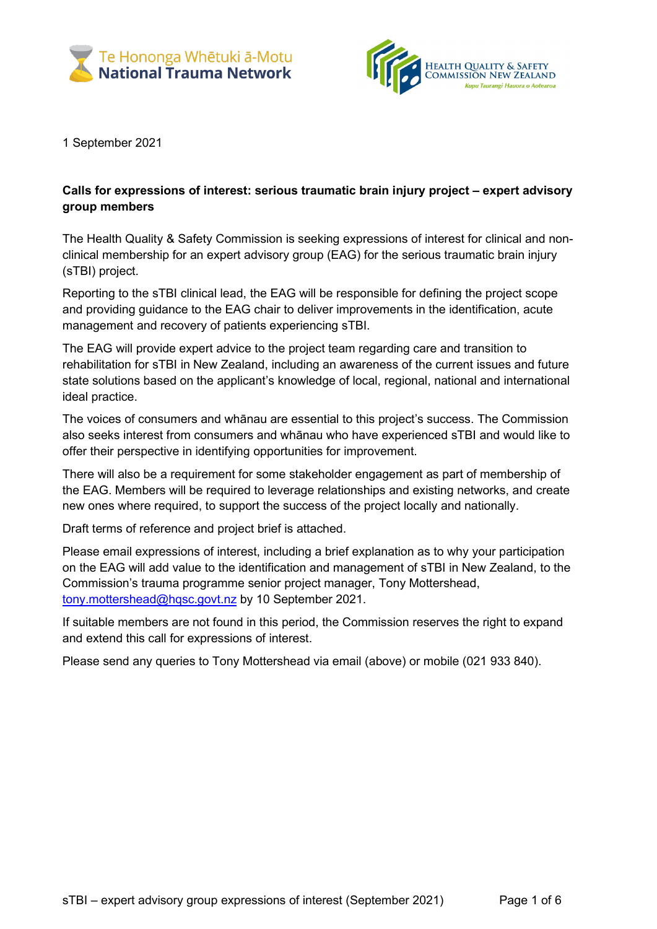



1 September 2021

## **Calls for expressions of interest: serious traumatic brain injury project – expert advisory group members**

The Health Quality & Safety Commission is seeking expressions of interest for clinical and nonclinical membership for an expert advisory group (EAG) for the serious traumatic brain injury (sTBI) project.

Reporting to the sTBI clinical lead, the EAG will be responsible for defining the project scope and providing guidance to the EAG chair to deliver improvements in the identification, acute management and recovery of patients experiencing sTBI.

The EAG will provide expert advice to the project team regarding care and transition to rehabilitation for sTBI in New Zealand, including an awareness of the current issues and future state solutions based on the applicant's knowledge of local, regional, national and international ideal practice.

The voices of consumers and whānau are essential to this project's success. The Commission also seeks interest from consumers and whānau who have experienced sTBI and would like to offer their perspective in identifying opportunities for improvement.

There will also be a requirement for some stakeholder engagement as part of membership of the EAG. Members will be required to leverage relationships and existing networks, and create new ones where required, to support the success of the project locally and nationally.

Draft terms of reference and project brief is attached.

Please email expressions of interest, including a brief explanation as to why your participation on the EAG will add value to the identification and management of sTBI in New Zealand, to the Commission's trauma programme senior project manager, Tony Mottershead, [tony.mottershead@hqsc.govt.nz](mailto:tony.mottershead@hqsc.govt.nz) by 10 September 2021.

If suitable members are not found in this period, the Commission reserves the right to expand and extend this call for expressions of interest.

Please send any queries to Tony Mottershead via email (above) or mobile (021 933 840).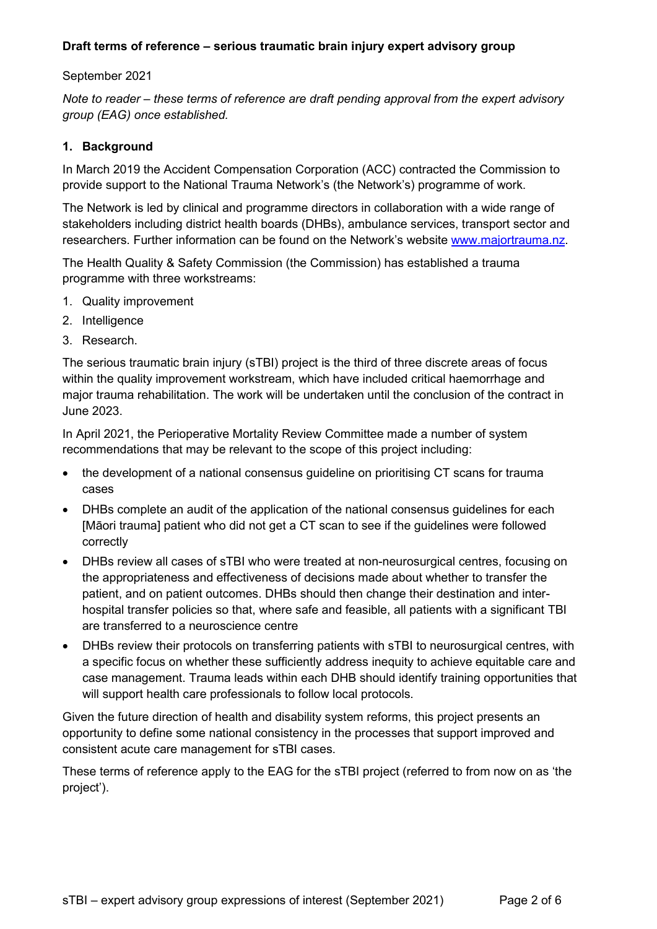### **Draft terms of reference – serious traumatic brain injury expert advisory group**

#### September 2021

*Note to reader – these terms of reference are draft pending approval from the expert advisory group (EAG) once established.*

### **1. Background**

In March 2019 the Accident Compensation Corporation (ACC) contracted the Commission to provide support to the National Trauma Network's (the Network's) programme of work.

The Network is led by clinical and programme directors in collaboration with a wide range of stakeholders including district health boards (DHBs), ambulance services, transport sector and researchers. Further information can be found on the Network's website [www.majortrauma.nz.](http://www.majortrauma.nz/)

The Health Quality & Safety Commission (the Commission) has established a trauma programme with three workstreams:

- 1. Quality improvement
- 2. Intelligence
- 3. Research.

The serious traumatic brain injury (sTBI) project is the third of three discrete areas of focus within the quality improvement workstream, which have included critical haemorrhage and major trauma rehabilitation. The work will be undertaken until the conclusion of the contract in June 2023.

In April 2021, the Perioperative Mortality Review Committee made a number of system recommendations that may be relevant to the scope of this project including:

- the development of a national consensus guideline on prioritising CT scans for trauma cases
- DHBs complete an audit of the application of the national consensus guidelines for each [Māori trauma] patient who did not get a CT scan to see if the guidelines were followed correctly
- DHBs review all cases of sTBI who were treated at non-neurosurgical centres, focusing on the appropriateness and effectiveness of decisions made about whether to transfer the patient, and on patient outcomes. DHBs should then change their destination and interhospital transfer policies so that, where safe and feasible, all patients with a significant TBI are transferred to a neuroscience centre
- DHBs review their protocols on transferring patients with sTBI to neurosurgical centres, with a specific focus on whether these sufficiently address inequity to achieve equitable care and case management. Trauma leads within each DHB should identify training opportunities that will support health care professionals to follow local protocols.

Given the future direction of health and disability system reforms, this project presents an opportunity to define some national consistency in the processes that support improved and consistent acute care management for sTBI cases.

These terms of reference apply to the EAG for the sTBI project (referred to from now on as 'the project').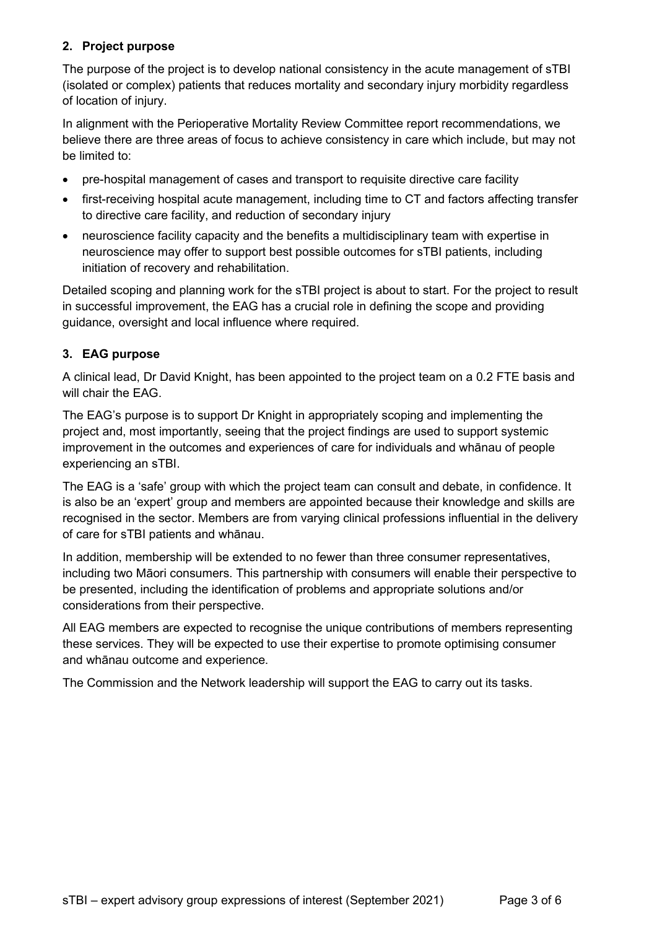## **2. Project purpose**

The purpose of the project is to develop national consistency in the acute management of sTBI (isolated or complex) patients that reduces mortality and secondary injury morbidity regardless of location of injury.

In alignment with the Perioperative Mortality Review Committee report recommendations, we believe there are three areas of focus to achieve consistency in care which include, but may not be limited to:

- pre-hospital management of cases and transport to requisite directive care facility
- first-receiving hospital acute management, including time to CT and factors affecting transfer to directive care facility, and reduction of secondary injury
- neuroscience facility capacity and the benefits a multidisciplinary team with expertise in neuroscience may offer to support best possible outcomes for sTBI patients, including initiation of recovery and rehabilitation.

Detailed scoping and planning work for the sTBI project is about to start. For the project to result in successful improvement, the EAG has a crucial role in defining the scope and providing guidance, oversight and local influence where required.

# **3. EAG purpose**

A clinical lead, Dr David Knight, has been appointed to the project team on a 0.2 FTE basis and will chair the EAG.

The EAG's purpose is to support Dr Knight in appropriately scoping and implementing the project and, most importantly, seeing that the project findings are used to support systemic improvement in the outcomes and experiences of care for individuals and whānau of people experiencing an sTBI.

The EAG is a 'safe' group with which the project team can consult and debate, in confidence. It is also be an 'expert' group and members are appointed because their knowledge and skills are recognised in the sector. Members are from varying clinical professions influential in the delivery of care for sTBI patients and whānau.

In addition, membership will be extended to no fewer than three consumer representatives, including two Māori consumers. This partnership with consumers will enable their perspective to be presented, including the identification of problems and appropriate solutions and/or considerations from their perspective.

All EAG members are expected to recognise the unique contributions of members representing these services. They will be expected to use their expertise to promote optimising consumer and whānau outcome and experience.

The Commission and the Network leadership will support the EAG to carry out its tasks.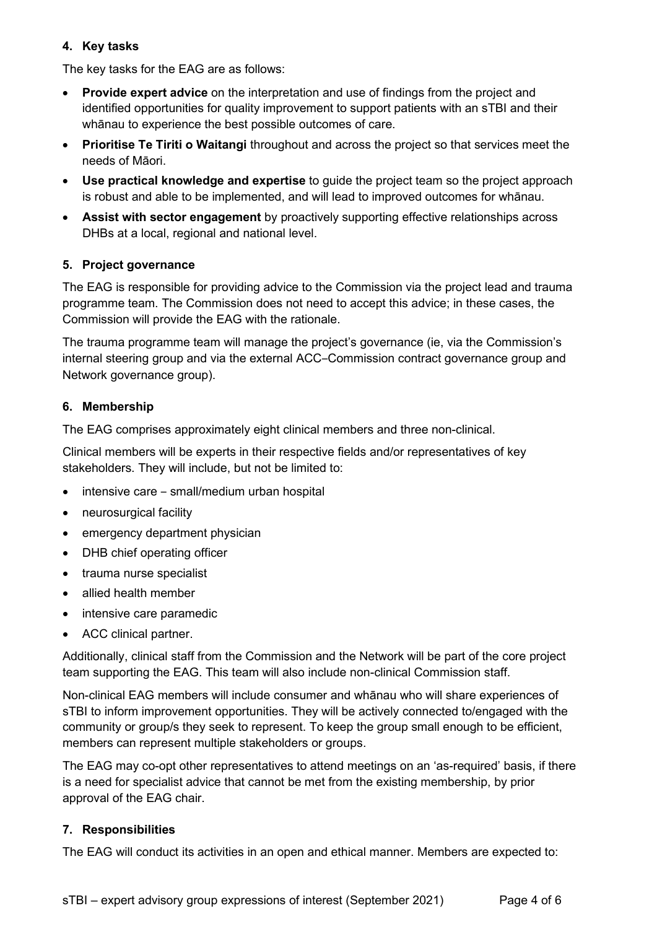## **4. Key tasks**

The key tasks for the EAG are as follows:

- **Provide expert advice** on the interpretation and use of findings from the project and identified opportunities for quality improvement to support patients with an sTBI and their whānau to experience the best possible outcomes of care.
- **Prioritise Te Tiriti o Waitangi** throughout and across the project so that services meet the needs of Māori.
- **Use practical knowledge and expertise** to guide the project team so the project approach is robust and able to be implemented, and will lead to improved outcomes for whānau.
- **Assist with sector engagement** by proactively supporting effective relationships across DHBs at a local, regional and national level.

# **5. Project governance**

The EAG is responsible for providing advice to the Commission via the project lead and trauma programme team. The Commission does not need to accept this advice; in these cases, the Commission will provide the EAG with the rationale.

The trauma programme team will manage the project's governance (ie, via the Commission's internal steering group and via the external ACC‒Commission contract governance group and Network governance group).

# **6. Membership**

The EAG comprises approximately eight clinical members and three non-clinical.

Clinical members will be experts in their respective fields and/or representatives of key stakeholders. They will include, but not be limited to:

- $\bullet$  intensive care small/medium urban hospital
- neurosurgical facility
- emergency department physician
- DHB chief operating officer
- trauma nurse specialist
- allied health member
- intensive care paramedic
- ACC clinical partner.

Additionally, clinical staff from the Commission and the Network will be part of the core project team supporting the EAG. This team will also include non-clinical Commission staff.

Non-clinical EAG members will include consumer and whānau who will share experiences of sTBI to inform improvement opportunities. They will be actively connected to/engaged with the community or group/s they seek to represent. To keep the group small enough to be efficient, members can represent multiple stakeholders or groups.

The EAG may co-opt other representatives to attend meetings on an 'as-required' basis, if there is a need for specialist advice that cannot be met from the existing membership, by prior approval of the EAG chair.

## **7. Responsibilities**

The EAG will conduct its activities in an open and ethical manner. Members are expected to: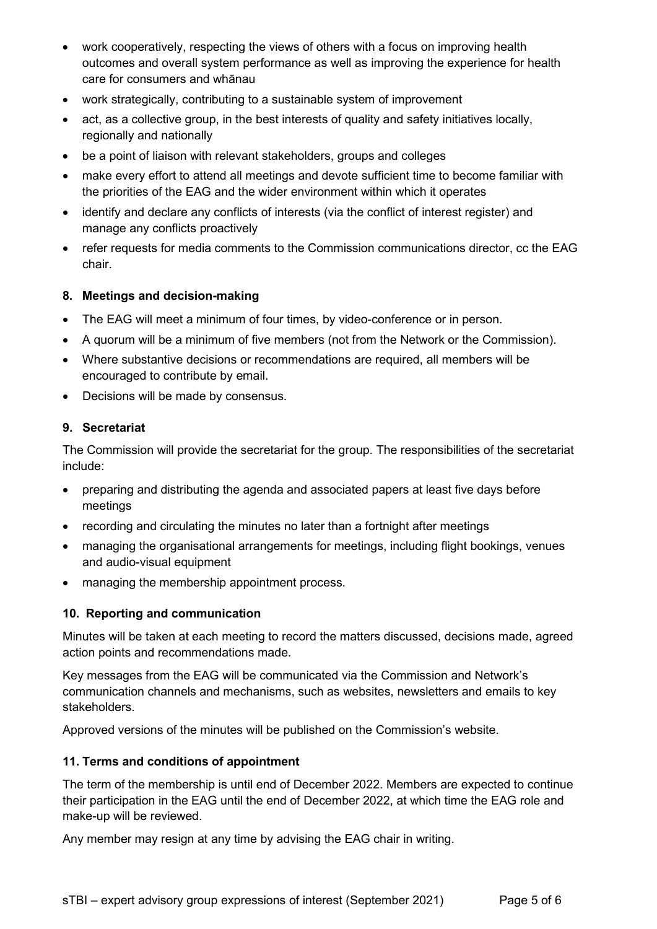- work cooperatively, respecting the views of others with a focus on improving health outcomes and overall system performance as well as improving the experience for health care for consumers and whānau
- work strategically, contributing to a sustainable system of improvement
- act, as a collective group, in the best interests of quality and safety initiatives locally, regionally and nationally
- be a point of liaison with relevant stakeholders, groups and colleges
- make every effort to attend all meetings and devote sufficient time to become familiar with the priorities of the EAG and the wider environment within which it operates
- identify and declare any conflicts of interests (via the conflict of interest register) and manage any conflicts proactively
- refer requests for media comments to the Commission communications director, cc the EAG chair.

### **8. Meetings and decision-making**

- The EAG will meet a minimum of four times, by video-conference or in person.
- A quorum will be a minimum of five members (not from the Network or the Commission).
- Where substantive decisions or recommendations are required, all members will be encouraged to contribute by email.
- Decisions will be made by consensus.

#### **9. Secretariat**

The Commission will provide the secretariat for the group. The responsibilities of the secretariat include:

- preparing and distributing the agenda and associated papers at least five days before meetings
- recording and circulating the minutes no later than a fortnight after meetings
- managing the organisational arrangements for meetings, including flight bookings, venues and audio-visual equipment
- managing the membership appointment process.

## **10. Reporting and communication**

Minutes will be taken at each meeting to record the matters discussed, decisions made, agreed action points and recommendations made.

Key messages from the EAG will be communicated via the Commission and Network's communication channels and mechanisms, such as websites, newsletters and emails to key stakeholders.

Approved versions of the minutes will be published on the Commission's website.

#### **11. Terms and conditions of appointment**

The term of the membership is until end of December 2022. Members are expected to continue their participation in the EAG until the end of December 2022, at which time the EAG role and make-up will be reviewed.

Any member may resign at any time by advising the EAG chair in writing.